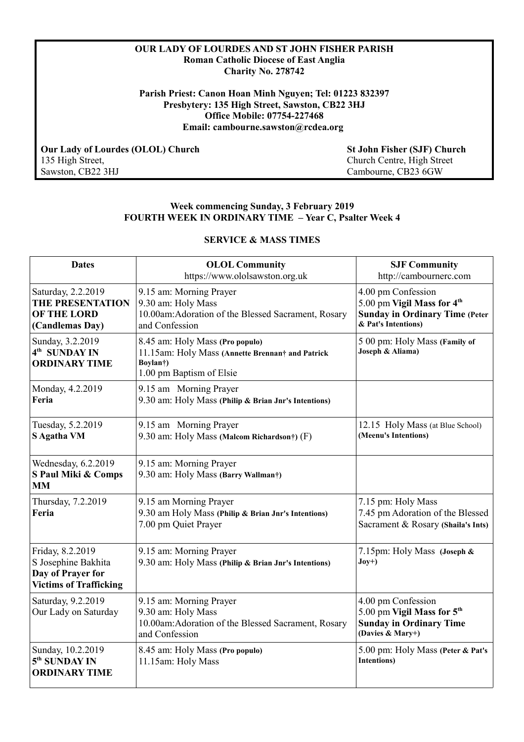## **OUR LADY OF LOURDES AND ST JOHN FISHER PARISH Roman Catholic Diocese of East Anglia Charity No. 278742**

**Parish Priest: Canon Hoan Minh Nguyen; Tel: 01223 832397 Presbytery: 135 High Street, Sawston, CB22 3HJ Office Mobile: 07754-227468 Email: cambourne.sawston@rcdea.org** 

**Our Lady of Lourdes (OLOL) Church**<br>
135 High Street, Sawston, CB22 3HJ<br>
Church Centre, High Street<br>
Cambourne, CB23 6GW<br>
Cambourne, CB23 6GW

135 High Street, Church Centre, High Street Cambourne, CB23 6GW

### **Week commencing Sunday, 3 February 2019 FOURTH WEEK IN ORDINARY TIME – Year C, Psalter Week 4**

# **SERVICE & MASS TIMES**

| <b>Dates</b>                                                                                  | <b>OLOL Community</b><br>https://www.ololsawston.org.uk                                                                                  | <b>SJF Community</b><br>http://cambournerc.com                                                                               |
|-----------------------------------------------------------------------------------------------|------------------------------------------------------------------------------------------------------------------------------------------|------------------------------------------------------------------------------------------------------------------------------|
| Saturday, 2.2.2019<br>THE PRESENTATION<br><b>OF THE LORD</b><br>(Candlemas Day)               | 9.15 am: Morning Prayer<br>9.30 am: Holy Mass<br>10.00am: Adoration of the Blessed Sacrament, Rosary<br>and Confession                   | 4.00 pm Confession<br>5.00 pm Vigil Mass for 4 <sup>th</sup><br><b>Sunday in Ordinary Time (Peter</b><br>& Pat's Intentions) |
| Sunday, 3.2.2019<br>4 <sup>th</sup> SUNDAY IN<br><b>ORDINARY TIME</b>                         | 8.45 am: Holy Mass (Pro populo)<br>11.15am: Holy Mass (Annette Brennan† and Patrick<br>Boylan <sup>†</sup> )<br>1.00 pm Baptism of Elsie | 5 00 pm: Holy Mass (Family of<br>Joseph & Aliama)                                                                            |
| Monday, 4.2.2019<br>Feria                                                                     | 9.15 am Morning Prayer<br>9.30 am: Holy Mass (Philip & Brian Jnr's Intentions)                                                           |                                                                                                                              |
| Tuesday, 5.2.2019<br>S Agatha VM                                                              | 9.15 am Morning Prayer<br>9.30 am: Holy Mass (Malcom Richardson†) (F)                                                                    | 12.15 Holy Mass (at Blue School)<br>(Meenu's Intentions)                                                                     |
| Wednesday, 6.2.2019<br>S Paul Miki & Comps<br><b>MM</b>                                       | 9.15 am: Morning Prayer<br>9.30 am: Holy Mass (Barry Wallman†)                                                                           |                                                                                                                              |
| Thursday, 7.2.2019<br>Feria                                                                   | 9.15 am Morning Prayer<br>9.30 am Holy Mass (Philip & Brian Jnr's Intentions)<br>7.00 pm Quiet Prayer                                    | 7.15 pm: Holy Mass<br>7.45 pm Adoration of the Blessed<br>Sacrament & Rosary (Shaila's Ints)                                 |
| Friday, 8.2.2019<br>S Josephine Bakhita<br>Day of Prayer for<br><b>Victims of Trafficking</b> | 9.15 am: Morning Prayer<br>9.30 am: Holy Mass (Philip & Brian Jnr's Intentions)                                                          | 7.15pm: Holy Mass (Joseph &<br>$Joy+)$                                                                                       |
| Saturday, 9.2.2019<br>Our Lady on Saturday                                                    | 9.15 am: Morning Prayer<br>9.30 am: Holy Mass<br>10.00am: Adoration of the Blessed Sacrament, Rosary<br>and Confession                   | 4.00 pm Confession<br>5.00 pm Vigil Mass for 5 <sup>th</sup><br><b>Sunday in Ordinary Time</b><br>(Davies & Mary+)           |
| Sunday, 10.2.2019<br>5 <sup>th</sup> SUNDAY IN<br><b>ORDINARY TIME</b>                        | 8.45 am: Holy Mass (Pro populo)<br>11.15am: Holy Mass                                                                                    | 5.00 pm: Holy Mass (Peter & Pat's<br><b>Intentions</b> )                                                                     |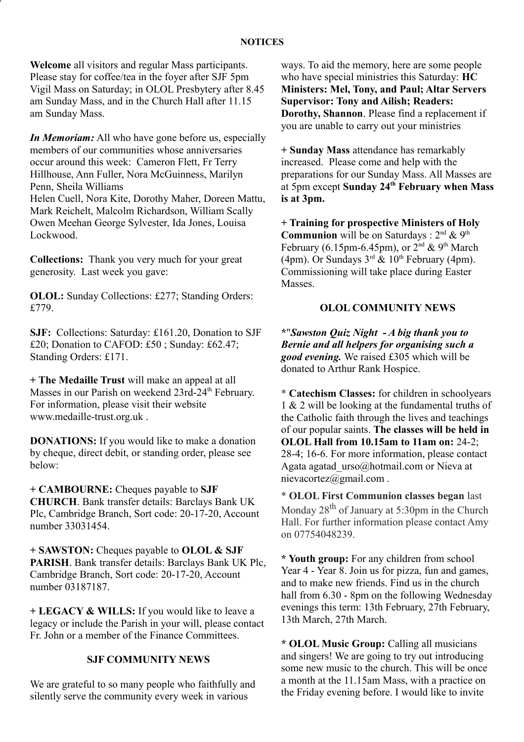**Welcome** all visitors and regular Mass participants. Please stay for coffee/tea in the foyer after SJF 5pm Vigil Mass on Saturday; in OLOL Presbytery after 8.45 am Sunday Mass, and in the Church Hall after 11.15 am Sunday Mass.

*In Memoriam:* All who have gone before us, especially members of our communities whose anniversaries occur around this week: Cameron Flett, Fr Terry Hillhouse, Ann Fuller, Nora McGuinness, Marilyn Penn, Sheila Williams Helen Cuell, Nora Kite, Dorothy Maher, Doreen Mattu, Mark Reichelt, Malcolm Richardson, William Scally

Owen Meehan George Sylvester, Ida Jones, Louisa Lockwood.

**Collections:** Thank you very much for your great generosity. Last week you gave:

**OLOL:** Sunday Collections: £277; Standing Orders: £779.

**SJF:** Collections: Saturday: £161.20, Donation to SJF £20; Donation to CAFOD: £50 ; Sunday: £62.47; Standing Orders: £171.

**+ The Medaille Trust** will make an appeal at all Masses in our Parish on weekend 23rd-24<sup>th</sup> February. For information, please visit their website www.medaille-trust.org.uk .

**DONATIONS:** If you would like to make a donation by cheque, direct debit, or standing order, please see below:

**+ CAMBOURNE:** Cheques payable to **SJF CHURCH**. Bank transfer details: Barclays Bank UK Plc, Cambridge Branch, Sort code: 20-17-20, Account number 33031454.

**+ SAWSTON:** Cheques payable to **OLOL & SJF PARISH**. Bank transfer details: Barclays Bank UK Plc, Cambridge Branch, Sort code: 20-17-20, Account number 03187187.

**+ LEGACY & WILLS:** If you would like to leave a legacy or include the Parish in your will, please contact Fr. John or a member of the Finance Committees.

# **SJF COMMUNITY NEWS**

We are grateful to so many people who faithfully and silently serve the community every week in various

ways. To aid the memory, here are some people who have special ministries this Saturday: **HC Ministers: Mel, Tony, and Paul; Altar Servers Supervisor: Tony and Ailish; Readers: Dorothy, Shannon**. Please find a replacement if you are unable to carry out your ministries

**+ Sunday Mass** attendance has remarkably increased. Please come and help with the preparations for our Sunday Mass. All Masses are at 5pm except **Sunday 24th February when Mass is at 3pm.**

**+ Training for prospective Ministers of Holy Communion** will be on Saturdays : 2<sup>nd</sup> & 9<sup>th</sup> February (6.15pm-6.45pm), or  $2^{nd}$  & 9<sup>th</sup> March (4pm). Or Sundays  $3^{rd}$  &  $10^{th}$  February (4pm). Commissioning will take place during Easter Masses.

# **OLOL COMMUNITY NEWS**

**\***"*Sawston Quiz Night - A big thank you to Bernie and all helpers for organising such a good evening.* We raised £305 which will be donated to Arthur Rank Hospice.

\* **Catechism Classes:** for children in schoolyears 1 & 2 will be looking at the fundamental truths of the Catholic faith through the lives and teachings of our popular saints. **The classes will be held in OLOL Hall from 10.15am to 11am on:** 24-2; 28-4; 16-6. For more information, please contact Agata agatad urso@hotmail.com or Nieva at nievacortez@gmail.com .

\* **OLOL First Communion classes began** last Monday  $28<sup>th</sup>$  of January at 5:30pm in the Church Hall. For further information please contact Amy on 07754048239.

**\* Youth group:** For any children from school Year 4 - Year 8. Join us for pizza, fun and games, and to make new friends. Find us in the church hall from 6.30 - 8pm on the following Wednesday evenings this term: 13th February, 27th February, 13th March, 27th March.

**\* OLOL Music Group:** Calling all musicians and singers! We are going to try out introducing some new music to the church. This will be once a month at the 11.15am Mass, with a practice on the Friday evening before. I would like to invite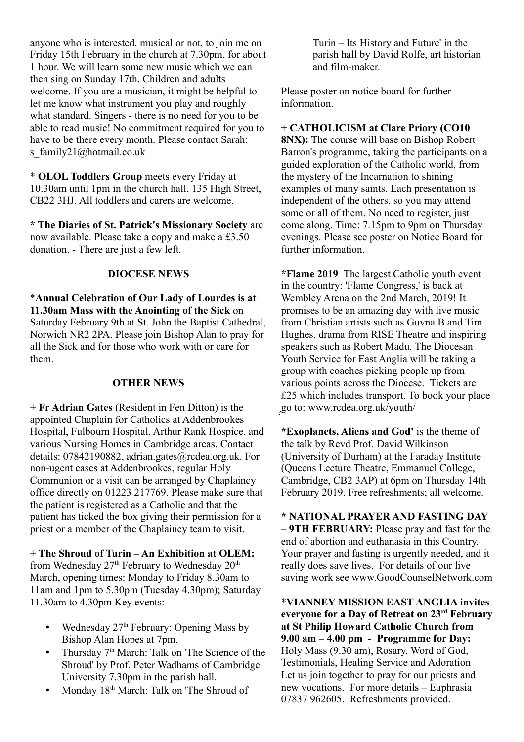anyone who is interested, musical or not, to join me on Friday 15th February in the church at 7.30pm, for about 1 hour. We will learn some new music which we can then sing on Sunday 17th. Children and adults welcome. If you are a musician, it might be helpful to let me know what instrument you play and roughly what standard. Singers - there is no need for you to be able to read music! No commitment required for you to have to be there every month. Please contact Sarah: s\_family21@hotmail.co.uk

\* **OLOL Toddlers Group** meets every Friday at 10.30am until 1pm in the church hall, 135 High Street, CB22 3HJ. All toddlers and carers are welcome.

**\* The Diaries of St. Patrick's Missionary Society** are now available. Please take a copy and make a £3.50 donation. - There are just a few left.

# **DIOCESE NEWS**

\***Annual Celebration of Our Lady of Lourdes is at 11.30am Mass with the Anointing of the Sick** on Saturday February 9th at St. John the Baptist Cathedral, Norwich NR2 2PA. Please join Bishop Alan to pray for all the Sick and for those who work with or care for them.

## **OTHER NEWS**

**+ Fr Adrian Gates** (Resident in Fen Ditton) is the appointed Chaplain for Catholics at Addenbrookes Hospital, Fulbourn Hospital, Arthur Rank Hospice, and various Nursing Homes in Cambridge areas. Contact details: 07842190882, adrian.gates@rcdea.org.uk. For non-ugent cases at Addenbrookes, regular Holy Communion or a visit can be arranged by Chaplaincy office directly on 01223 217769. Please make sure that the patient is registered as a Catholic and that the patient has ticked the box giving their permission for a priest or a member of the Chaplaincy team to visit.

**+ The Shroud of Turin – An Exhibition at OLEM:**

from Wednesday  $27<sup>th</sup>$  February to Wednesday  $20<sup>th</sup>$ March, opening times: Monday to Friday 8.30am to 11am and 1pm to 5.30pm (Tuesday 4.30pm); Saturday 11.30am to 4.30pm Key events:

- Wednesday  $27<sup>th</sup>$  February: Opening Mass by Bishop Alan Hopes at 7pm.
- Thursday  $7<sup>th</sup>$  March: Talk on 'The Science of the Shroud' by Prof. Peter Wadhams of Cambridge University 7.30pm in the parish hall.
- Monday  $18<sup>th</sup>$  March: Talk on 'The Shroud of

Turin – Its History and Future' in the parish hall by David Rolfe, art historian and film-maker.

Please poster on notice board for further information.

# **+ CATHOLICISM at Clare Priory (CO10**

**8NX):** The course will base on Bishop Robert Barron's programme, taking the participants on a guided exploration of the Catholic world, from the mystery of the Incarnation to shining examples of many saints. Each presentation is independent of the others, so you may attend some or all of them. No need to register, just come along. Time: 7.15pm to 9pm on Thursday evenings. Please see poster on Notice Board for further information.

**\*Flame 2019** The largest Catholic youth event in the country: 'Flame Congress,' is back at Wembley Arena on the 2nd March, 2019! It promises to be an amazing day with live music from Christian artists such as Guvna B and Tim Hughes, drama from RISE Theatre and inspiring speakers such as Robert Madu. The Diocesan Youth Service for East Anglia will be taking a group with coaches picking people up from various points across the Diocese. Tickets are £25 which includes transport. To book your place go to: www.rcdea.org.uk/youth/ **∶** 

**\*Exoplanets, Aliens and God'** is the theme of the talk by Revd Prof. David Wilkinson (University of Durham) at the Faraday Institute (Queens Lecture Theatre, Emmanuel College, Cambridge, CB2 3AP) at 6pm on Thursday 14th February 2019. Free refreshments; all welcome.

**\* NATIONAL PRAYER AND FASTING DAY – 9TH FEBRUARY:** Please pray and fast for the end of abortion and euthanasia in this Country. Your prayer and fasting is urgently needed, and it really does save lives. For details of our live saving work see www.GoodCounselNetwork.com

\***VIANNEY MISSION EAST ANGLIA invites everyone for a Day of Retreat on 23rd February at St Philip Howard Catholic Church from 9.00 am – 4.00 pm - Programme for Day:** Holy Mass (9.30 am), Rosary, Word of God, Testimonials, Healing Service and Adoration Let us join together to pray for our priests and new vocations. For more details – Euphrasia 07837 962605. Refreshments provided.